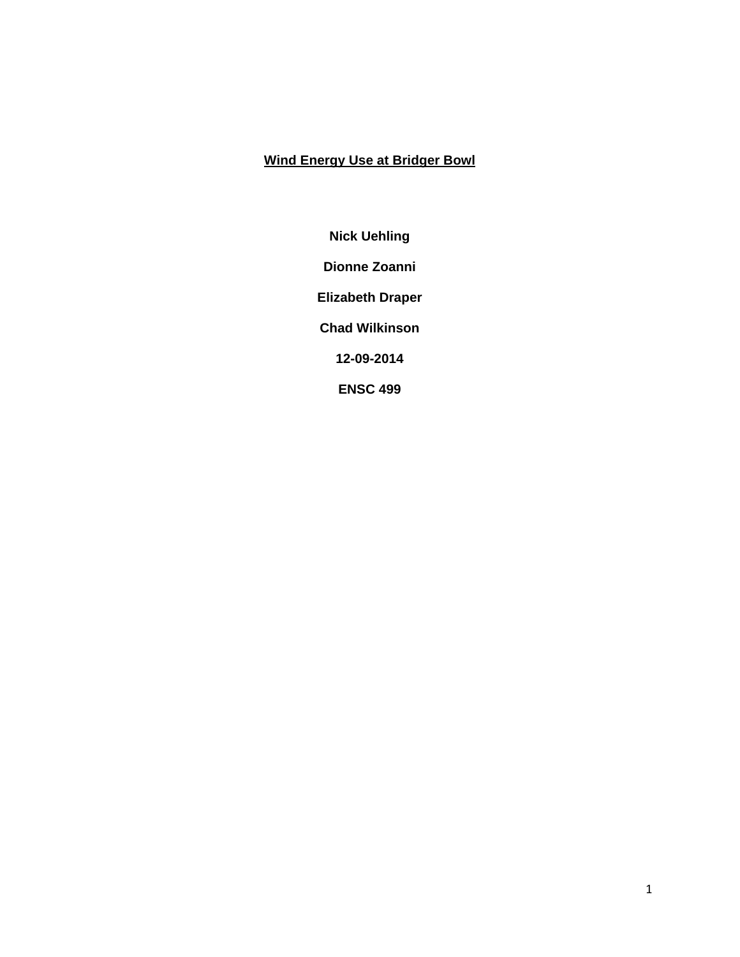# **Wind Energy Use at Bridger Bowl**

**Nick Uehling** 

**Dionne Zoanni** 

**Elizabeth Draper** 

**Chad Wilkinson** 

**12-09-2014** 

**ENSC 499**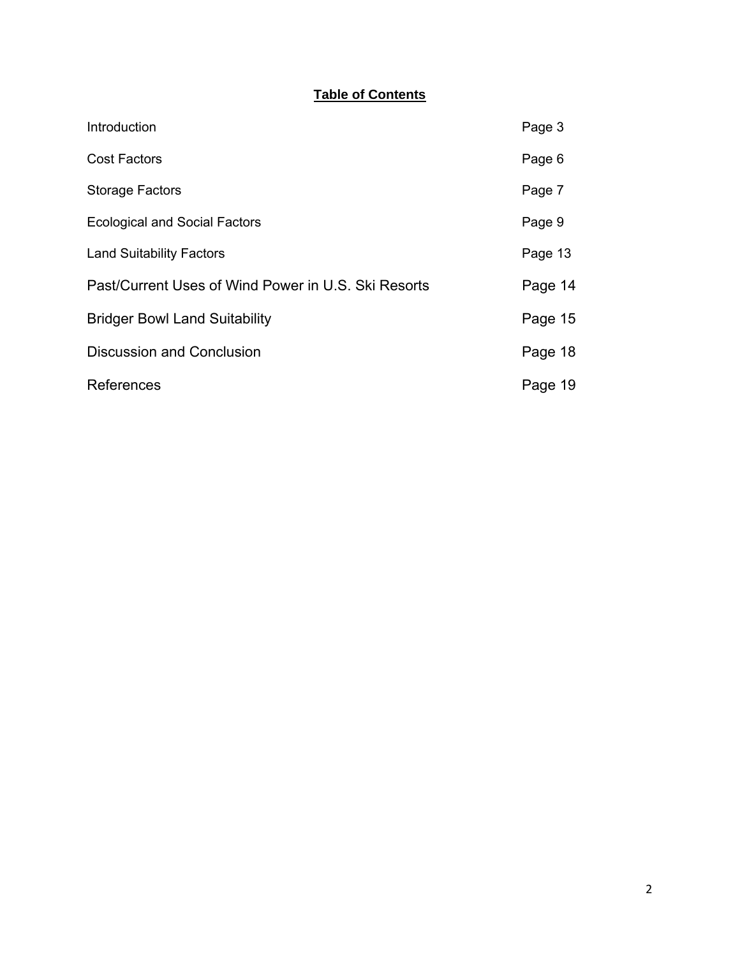# **Table of Contents**

| Introduction                                        | Page 3  |
|-----------------------------------------------------|---------|
| <b>Cost Factors</b>                                 | Page 6  |
| <b>Storage Factors</b>                              | Page 7  |
| <b>Ecological and Social Factors</b>                | Page 9  |
| <b>Land Suitability Factors</b>                     | Page 13 |
| Past/Current Uses of Wind Power in U.S. Ski Resorts | Page 14 |
| <b>Bridger Bowl Land Suitability</b>                | Page 15 |
| <b>Discussion and Conclusion</b>                    | Page 18 |
| References                                          | Page 19 |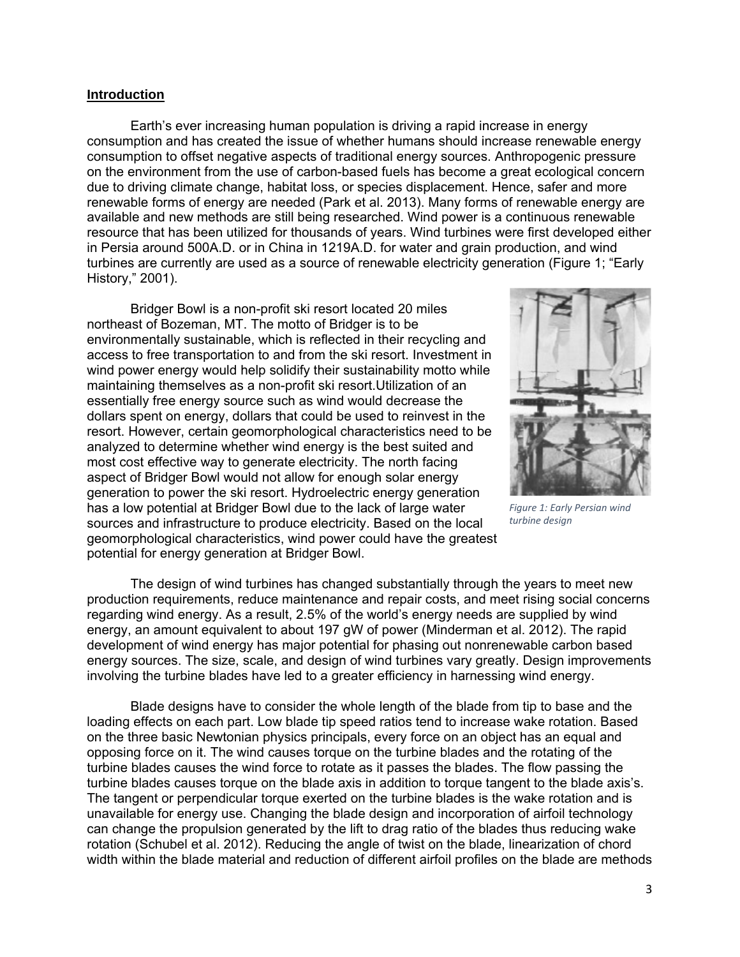### **Introduction**

Earth's ever increasing human population is driving a rapid increase in energy consumption and has created the issue of whether humans should increase renewable energy consumption to offset negative aspects of traditional energy sources. Anthropogenic pressure on the environment from the use of carbon-based fuels has become a great ecological concern due to driving climate change, habitat loss, or species displacement. Hence, safer and more renewable forms of energy are needed (Park et al. 2013). Many forms of renewable energy are available and new methods are still being researched. Wind power is a continuous renewable resource that has been utilized for thousands of years. Wind turbines were first developed either in Persia around 500A.D. or in China in 1219A.D. for water and grain production, and wind turbines are currently are used as a source of renewable electricity generation (Figure 1; "Early History," 2001).

Bridger Bowl is a non-profit ski resort located 20 miles northeast of Bozeman, MT. The motto of Bridger is to be environmentally sustainable, which is reflected in their recycling and access to free transportation to and from the ski resort. Investment in wind power energy would help solidify their sustainability motto while maintaining themselves as a non-profit ski resort.Utilization of an essentially free energy source such as wind would decrease the dollars spent on energy, dollars that could be used to reinvest in the resort. However, certain geomorphological characteristics need to be analyzed to determine whether wind energy is the best suited and most cost effective way to generate electricity. The north facing aspect of Bridger Bowl would not allow for enough solar energy generation to power the ski resort. Hydroelectric energy generation has a low potential at Bridger Bowl due to the lack of large water sources and infrastructure to produce electricity. Based on the local geomorphological characteristics, wind power could have the greatest potential for energy generation at Bridger Bowl.



*Figure 1a: Early Persian wind 1: Early Persian wind turbine design*

The design of wind turbines has changed substantially through the years to meet new production requirements, reduce maintenance and repair costs, and meet rising social concerns regarding wind energy. As a result, 2.5% of the world's energy needs are supplied by wind energy, an amount equivalent to about 197 gW of power (Minderman et al. 2012). The rapid development of wind energy has major potential for phasing out nonrenewable carbon based energy sources. The size, scale, and design of wind turbines vary greatly. Design improvements involving the turbine blades have led to a greater efficiency in harnessing wind energy.

Blade designs have to consider the whole length of the blade from tip to base and the loading effects on each part. Low blade tip speed ratios tend to increase wake rotation. Based on the three basic Newtonian physics principals, every force on an object has an equal and opposing force on it. The wind causes torque on the turbine blades and the rotating of the turbine blades causes the wind force to rotate as it passes the blades. The flow passing the turbine blades causes torque on the blade axis in addition to torque tangent to the blade axis's. The tangent or perpendicular torque exerted on the turbine blades is the wake rotation and is unavailable for energy use. Changing the blade design and incorporation of airfoil technology can change the propulsion generated by the lift to drag ratio of the blades thus reducing wake rotation (Schubel et al. 2012). Reducing the angle of twist on the blade, linearization of chord width within the blade material and reduction of different airfoil profiles on the blade are methods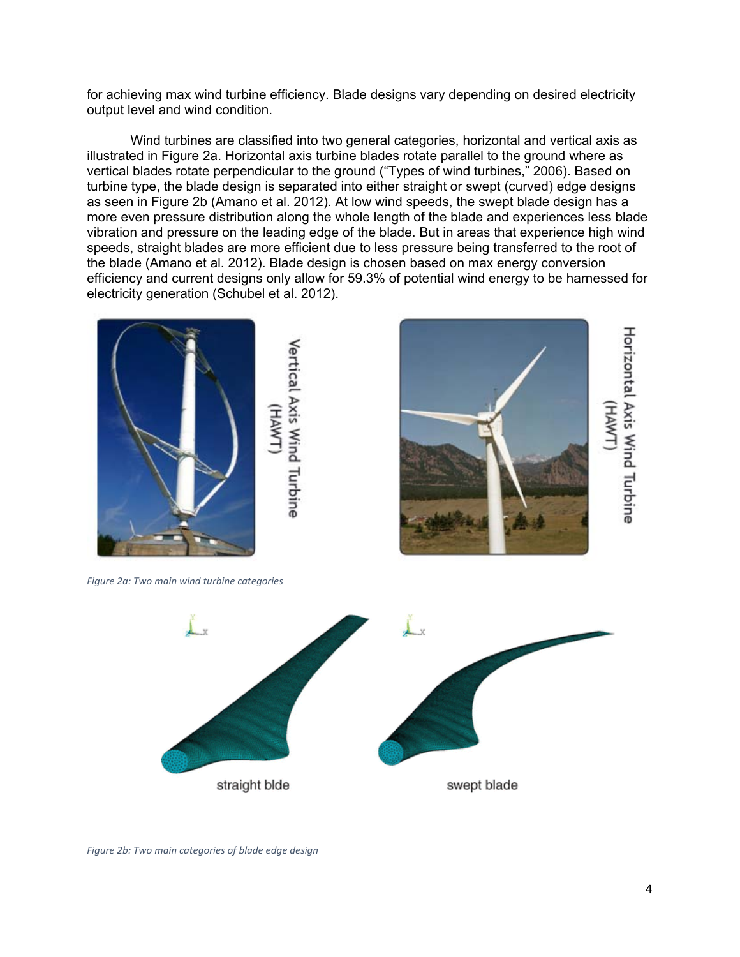for achieving max wind turbine efficiency. Blade designs vary depending on desired electricity output level and wind condition.

Wind turbines are classified into two general categories, horizontal and vertical axis as illustrated in Figure 2a. Horizontal axis turbine blades rotate parallel to the ground where as vertical blades rotate perpendicular to the ground ("Types of wind turbines," 2006). Based on turbine type, the blade design is separated into either straight or swept (curved) edge designs as seen in Figure 2b (Amano et al. 2012). At low wind speeds, the swept blade design has a more even pressure distribution along the whole length of the blade and experiences less blade vibration and pressure on the leading edge of the blade. But in areas that experience high wind speeds, straight blades are more efficient due to less pressure being transferred to the root of the blade (Amano et al. 2012). Blade design is chosen based on max energy conversion efficiency and current designs only allow for 59.3% of potential wind energy to be harnessed for electricity generation (Schubel et al. 2012).





Horizontal Axis Wind Turbine

 *Figure 2a: Two main wind turbine categories*



 *Figure 2b: Two main categories of blade edge design*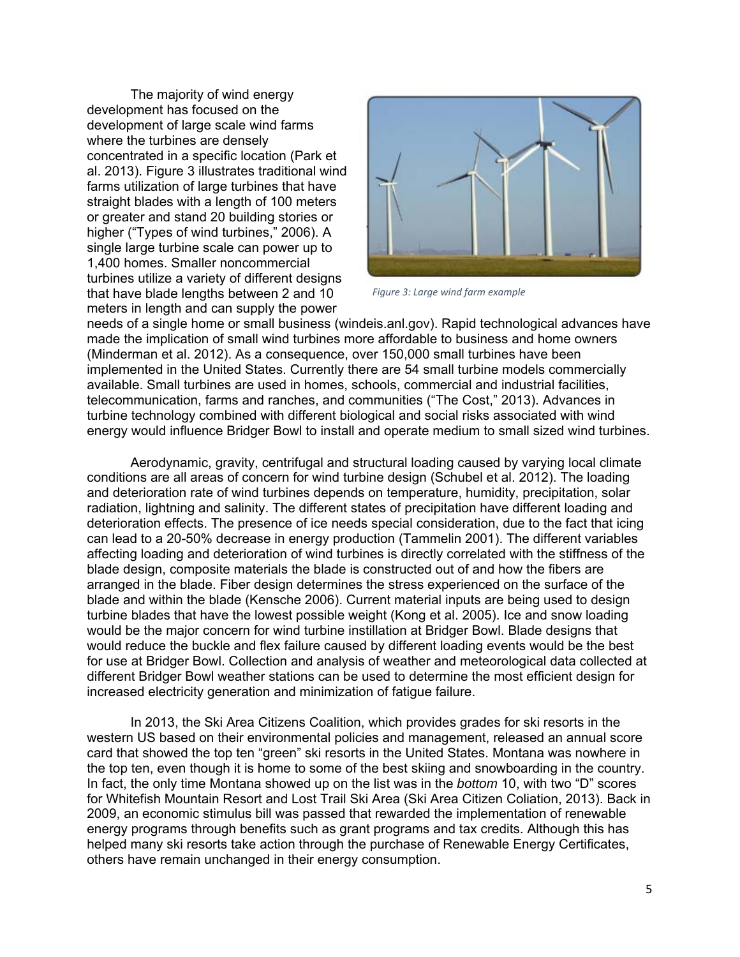The majority of wind energy development has focused on the development of large scale wind farms where the turbines are densely concentrated in a specific location (Park et al. 2013). Figure 3 illustrates traditional wind farms utilization of large turbines that have straight blades with a length of 100 meters or greater and stand 20 building stories or higher ("Types of wind turbines," 2006). A single large turbine scale can power up to 1,400 homes. Smaller noncommercial turbines utilize a variety of different designs that have blade lengths between 2 and 10 meters in length and can supply the power



 *Figure 3: Large wind farm example*

needs of a single home or small business (windeis.anl.gov). Rapid technological advances have made the implication of small wind turbines more affordable to business and home owners (Minderman et al. 2012). As a consequence, over 150,000 small turbines have been implemented in the United States. Currently there are 54 small turbine models commercially available. Small turbines are used in homes, schools, commercial and industrial facilities, telecommunication, farms and ranches, and communities ("The Cost," 2013). Advances in turbine technology combined with different biological and social risks associated with wind energy would influence Bridger Bowl to install and operate medium to small sized wind turbines.

Aerodynamic, gravity, centrifugal and structural loading caused by varying local climate conditions are all areas of concern for wind turbine design (Schubel et al. 2012). The loading and deterioration rate of wind turbines depends on temperature, humidity, precipitation, solar radiation, lightning and salinity. The different states of precipitation have different loading and deterioration effects. The presence of ice needs special consideration, due to the fact that icing can lead to a 20-50% decrease in energy production (Tammelin 2001). The different variables affecting loading and deterioration of wind turbines is directly correlated with the stiffness of the blade design, composite materials the blade is constructed out of and how the fibers are arranged in the blade. Fiber design determines the stress experienced on the surface of the blade and within the blade (Kensche 2006). Current material inputs are being used to design turbine blades that have the lowest possible weight (Kong et al. 2005). Ice and snow loading would be the major concern for wind turbine instillation at Bridger Bowl. Blade designs that would reduce the buckle and flex failure caused by different loading events would be the best for use at Bridger Bowl. Collection and analysis of weather and meteorological data collected at different Bridger Bowl weather stations can be used to determine the most efficient design for increased electricity generation and minimization of fatigue failure.

In 2013, the Ski Area Citizens Coalition, which provides grades for ski resorts in the western US based on their environmental policies and management, released an annual score card that showed the top ten "green" ski resorts in the United States. Montana was nowhere in the top ten, even though it is home to some of the best skiing and snowboarding in the country. In fact, the only time Montana showed up on the list was in the *bottom* 10, with two "D" scores for Whitefish Mountain Resort and Lost Trail Ski Area (Ski Area Citizen Coliation, 2013). Back in 2009, an economic stimulus bill was passed that rewarded the implementation of renewable energy programs through benefits such as grant programs and tax credits. Although this has helped many ski resorts take action through the purchase of Renewable Energy Certificates, others have remain unchanged in their energy consumption.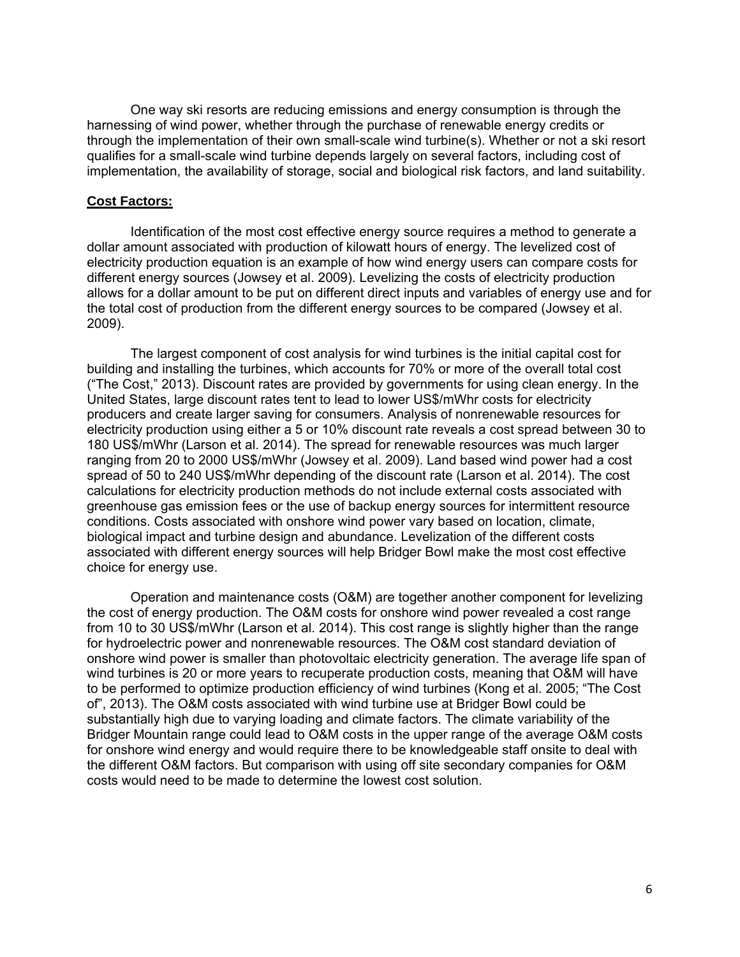One way ski resorts are reducing emissions and energy consumption is through the harnessing of wind power, whether through the purchase of renewable energy credits or through the implementation of their own small-scale wind turbine(s). Whether or not a ski resort qualifies for a small-scale wind turbine depends largely on several factors, including cost of implementation, the availability of storage, social and biological risk factors, and land suitability.

### **Cost Factors:**

Identification of the most cost effective energy source requires a method to generate a dollar amount associated with production of kilowatt hours of energy. The levelized cost of electricity production equation is an example of how wind energy users can compare costs for different energy sources (Jowsey et al. 2009). Levelizing the costs of electricity production allows for a dollar amount to be put on different direct inputs and variables of energy use and for the total cost of production from the different energy sources to be compared (Jowsey et al. 2009).

The largest component of cost analysis for wind turbines is the initial capital cost for building and installing the turbines, which accounts for 70% or more of the overall total cost ("The Cost," 2013). Discount rates are provided by governments for using clean energy. In the United States, large discount rates tent to lead to lower US\$/mWhr costs for electricity producers and create larger saving for consumers. Analysis of nonrenewable resources for electricity production using either a 5 or 10% discount rate reveals a cost spread between 30 to 180 US\$/mWhr (Larson et al. 2014). The spread for renewable resources was much larger ranging from 20 to 2000 US\$/mWhr (Jowsey et al. 2009). Land based wind power had a cost spread of 50 to 240 US\$/mWhr depending of the discount rate (Larson et al. 2014). The cost calculations for electricity production methods do not include external costs associated with greenhouse gas emission fees or the use of backup energy sources for intermittent resource conditions. Costs associated with onshore wind power vary based on location, climate, biological impact and turbine design and abundance. Levelization of the different costs associated with different energy sources will help Bridger Bowl make the most cost effective choice for energy use.

Operation and maintenance costs (O&M) are together another component for levelizing the cost of energy production. The O&M costs for onshore wind power revealed a cost range from 10 to 30 US\$/mWhr (Larson et al. 2014). This cost range is slightly higher than the range for hydroelectric power and nonrenewable resources. The O&M cost standard deviation of onshore wind power is smaller than photovoltaic electricity generation. The average life span of wind turbines is 20 or more years to recuperate production costs, meaning that O&M will have to be performed to optimize production efficiency of wind turbines (Kong et al. 2005; "The Cost of", 2013). The O&M costs associated with wind turbine use at Bridger Bowl could be substantially high due to varying loading and climate factors. The climate variability of the Bridger Mountain range could lead to O&M costs in the upper range of the average O&M costs for onshore wind energy and would require there to be knowledgeable staff onsite to deal with the different O&M factors. But comparison with using off site secondary companies for O&M costs would need to be made to determine the lowest cost solution.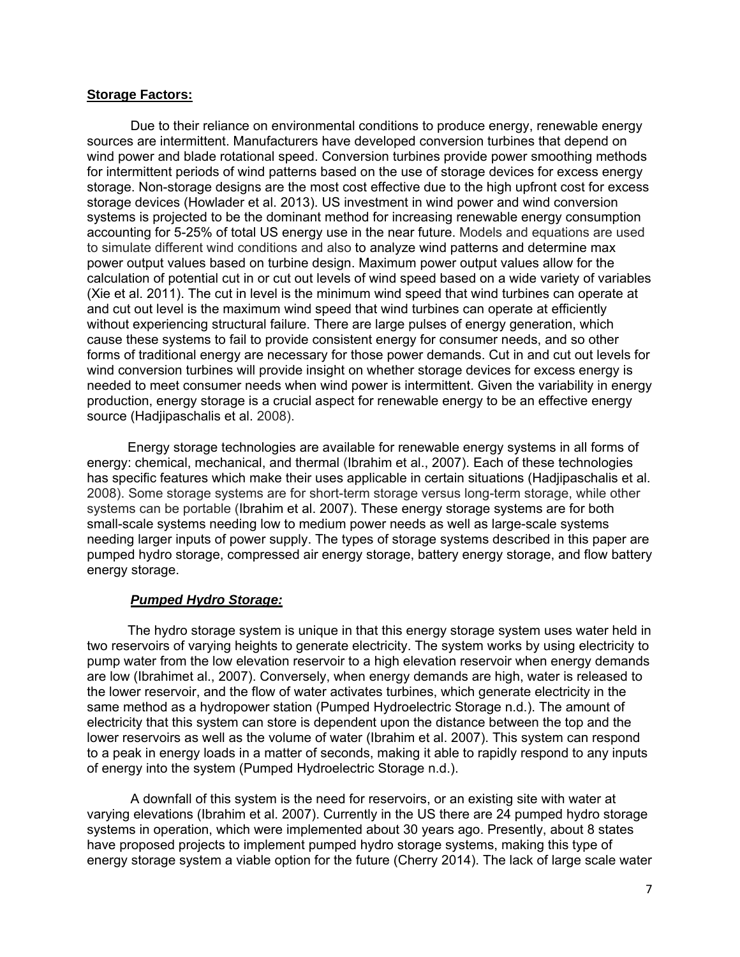### **Storage Factors:**

Due to their reliance on environmental conditions to produce energy, renewable energy sources are intermittent. Manufacturers have developed conversion turbines that depend on wind power and blade rotational speed. Conversion turbines provide power smoothing methods for intermittent periods of wind patterns based on the use of storage devices for excess energy storage. Non-storage designs are the most cost effective due to the high upfront cost for excess storage devices (Howlader et al. 2013). US investment in wind power and wind conversion systems is projected to be the dominant method for increasing renewable energy consumption accounting for 5-25% of total US energy use in the near future. Models and equations are used to simulate different wind conditions and also to analyze wind patterns and determine max power output values based on turbine design. Maximum power output values allow for the calculation of potential cut in or cut out levels of wind speed based on a wide variety of variables (Xie et al. 2011). The cut in level is the minimum wind speed that wind turbines can operate at and cut out level is the maximum wind speed that wind turbines can operate at efficiently without experiencing structural failure. There are large pulses of energy generation, which cause these systems to fail to provide consistent energy for consumer needs, and so other forms of traditional energy are necessary for those power demands. Cut in and cut out levels for wind conversion turbines will provide insight on whether storage devices for excess energy is needed to meet consumer needs when wind power is intermittent. Given the variability in energy production, energy storage is a crucial aspect for renewable energy to be an effective energy source (Hadjipaschalis et al. 2008).

Energy storage technologies are available for renewable energy systems in all forms of energy: chemical, mechanical, and thermal (Ibrahim et al., 2007). Each of these technologies has specific features which make their uses applicable in certain situations (Hadjipaschalis et al. 2008). Some storage systems are for short-term storage versus long-term storage, while other systems can be portable (Ibrahim et al. 2007). These energy storage systems are for both small-scale systems needing low to medium power needs as well as large-scale systems needing larger inputs of power supply. The types of storage systems described in this paper are pumped hydro storage, compressed air energy storage, battery energy storage, and flow battery energy storage.

# *Pumped Hydro Storage:*

 The hydro storage system is unique in that this energy storage system uses water held in two reservoirs of varying heights to generate electricity. The system works by using electricity to pump water from the low elevation reservoir to a high elevation reservoir when energy demands are low (Ibrahimet al., 2007). Conversely, when energy demands are high, water is released to the lower reservoir, and the flow of water activates turbines, which generate electricity in the same method as a hydropower station (Pumped Hydroelectric Storage n.d.). The amount of electricity that this system can store is dependent upon the distance between the top and the lower reservoirs as well as the volume of water (Ibrahim et al. 2007). This system can respond to a peak in energy loads in a matter of seconds, making it able to rapidly respond to any inputs of energy into the system (Pumped Hydroelectric Storage n.d.).

A downfall of this system is the need for reservoirs, or an existing site with water at varying elevations (Ibrahim et al. 2007). Currently in the US there are 24 pumped hydro storage systems in operation, which were implemented about 30 years ago. Presently, about 8 states have proposed projects to implement pumped hydro storage systems, making this type of energy storage system a viable option for the future (Cherry 2014). The lack of large scale water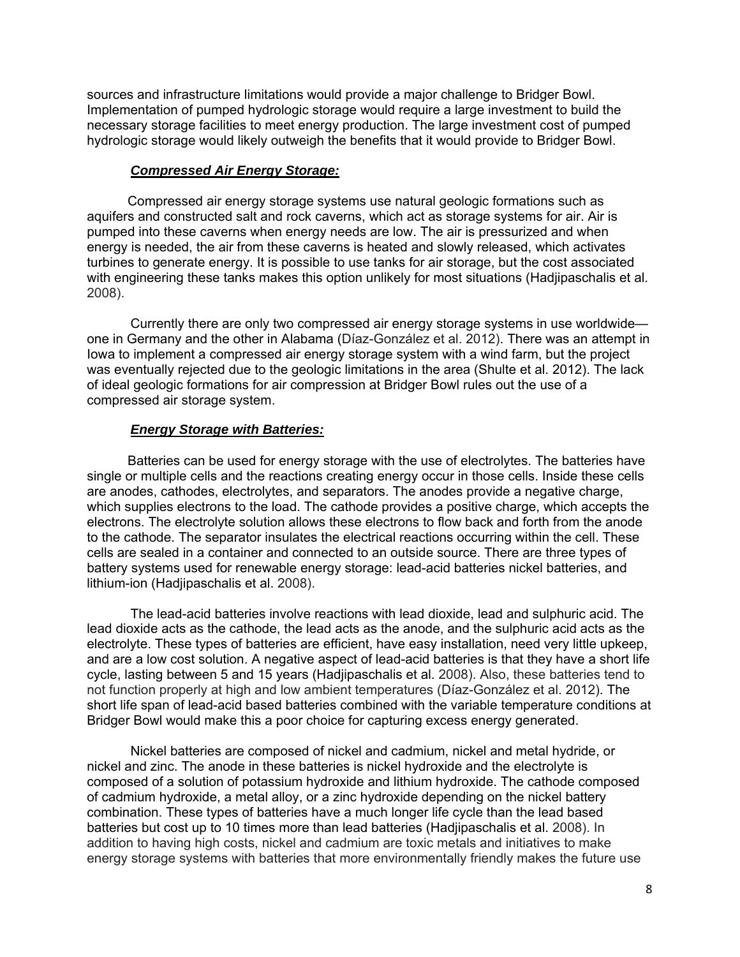sources and infrastructure limitations would provide a major challenge to Bridger Bowl. Implementation of pumped hydrologic storage would require a large investment to build the necessary storage facilities to meet energy production. The large investment cost of pumped hydrologic storage would likely outweigh the benefits that it would provide to Bridger Bowl.

### *Compressed Air Energy Storage:*

 Compressed air energy storage systems use natural geologic formations such as aquifers and constructed salt and rock caverns, which act as storage systems for air. Air is pumped into these caverns when energy needs are low. The air is pressurized and when energy is needed, the air from these caverns is heated and slowly released, which activates turbines to generate energy. It is possible to use tanks for air storage, but the cost associated with engineering these tanks makes this option unlikely for most situations (Hadjipaschalis et al. 2008).

Currently there are only two compressed air energy storage systems in use worldwide one in Germany and the other in Alabama (Díaz-González et al. 2012). There was an attempt in Iowa to implement a compressed air energy storage system with a wind farm, but the project was eventually rejected due to the geologic limitations in the area (Shulte et al. 2012). The lack of ideal geologic formations for air compression at Bridger Bowl rules out the use of a compressed air storage system.

# *Energy Storage with Batteries:*

 Batteries can be used for energy storage with the use of electrolytes. The batteries have single or multiple cells and the reactions creating energy occur in those cells. Inside these cells are anodes, cathodes, electrolytes, and separators. The anodes provide a negative charge, which supplies electrons to the load. The cathode provides a positive charge, which accepts the electrons. The electrolyte solution allows these electrons to flow back and forth from the anode to the cathode. The separator insulates the electrical reactions occurring within the cell. These cells are sealed in a container and connected to an outside source. There are three types of battery systems used for renewable energy storage: lead-acid batteries nickel batteries, and lithium-ion (Hadjipaschalis et al. 2008).

 lead dioxide acts as the cathode, the lead acts as the anode, and the sulphuric acid acts as the The lead-acid batteries involve reactions with lead dioxide, lead and sulphuric acid. The electrolyte. These types of batteries are efficient, have easy installation, need very little upkeep, and are a low cost solution. A negative aspect of lead-acid batteries is that they have a short life cycle, lasting between 5 and 15 years (Hadjipaschalis et al. 2008). Also, these batteries tend to not function properly at high and low ambient temperatures (Díaz-González et al. 2012). The short life span of lead-acid based batteries combined with the variable temperature conditions at Bridger Bowl would make this a poor choice for capturing excess energy generated.

Nickel batteries are composed of nickel and cadmium, nickel and metal hydride, or nickel and zinc. The anode in these batteries is nickel hydroxide and the electrolyte is composed of a solution of potassium hydroxide and lithium hydroxide. The cathode composed of cadmium hydroxide, a metal alloy, or a zinc hydroxide depending on the nickel battery combination. These types of batteries have a much longer life cycle than the lead based batteries but cost up to 10 times more than lead batteries (Hadjipaschalis et al. 2008). In addition to having high costs, nickel and cadmium are toxic metals and initiatives to make energy storage systems with batteries that more environmentally friendly makes the future use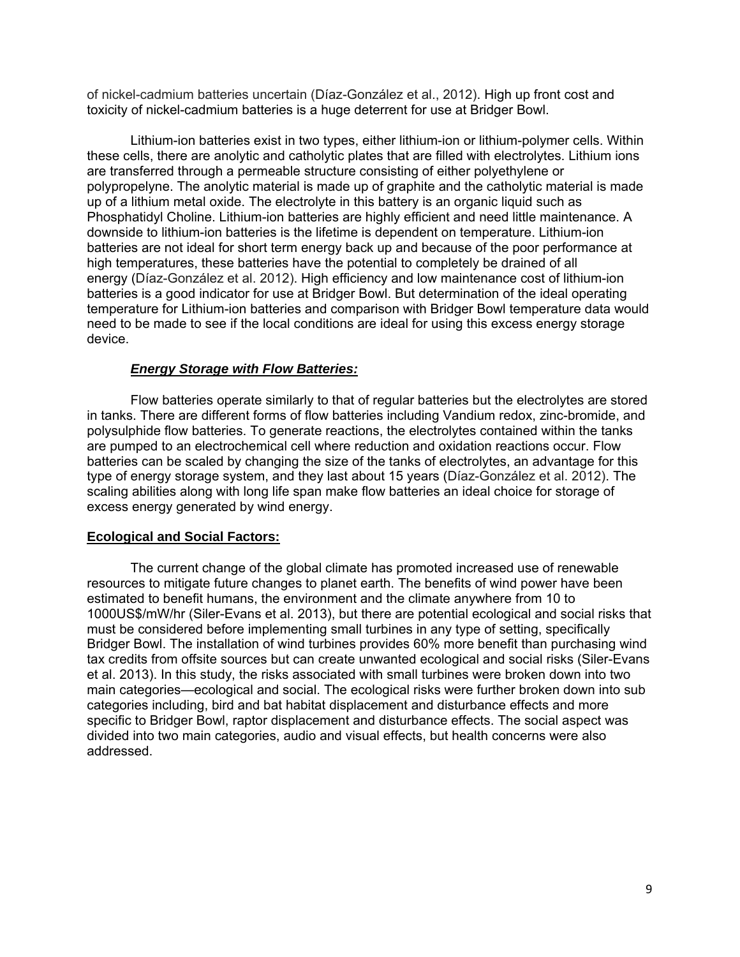of nickel-cadmium batteries uncertain (Díaz-González et al., 2012). High up front cost and toxicity of nickel-cadmium batteries is a huge deterrent for use at Bridger Bowl.

Lithium-ion batteries exist in two types, either lithium-ion or lithium-polymer cells. Within these cells, there are anolytic and catholytic plates that are filled with electrolytes. Lithium ions are transferred through a permeable structure consisting of either polyethylene or polypropelyne. The anolytic material is made up of graphite and the catholytic material is made up of a lithium metal oxide. The electrolyte in this battery is an organic liquid such as Phosphatidyl Choline. Lithium-ion batteries are highly efficient and need little maintenance. A downside to lithium-ion batteries is the lifetime is dependent on temperature. Lithium-ion batteries are not ideal for short term energy back up and because of the poor performance at high temperatures, these batteries have the potential to completely be drained of all energy (Díaz-González et al. 2012). High efficiency and low maintenance cost of lithium-ion batteries is a good indicator for use at Bridger Bowl. But determination of the ideal operating temperature for Lithium-ion batteries and comparison with Bridger Bowl temperature data would need to be made to see if the local conditions are ideal for using this excess energy storage device.

# *Energy Storage with Flow Batteries:*

Flow batteries operate similarly to that of regular batteries but the electrolytes are stored in tanks. There are different forms of flow batteries including Vandium redox, zinc-bromide, and polysulphide flow batteries. To generate reactions, the electrolytes contained within the tanks are pumped to an electrochemical cell where reduction and oxidation reactions occur. Flow batteries can be scaled by changing the size of the tanks of electrolytes, an advantage for this type of energy storage system, and they last about 15 years (Díaz-González et al. 2012). The scaling abilities along with long life span make flow batteries an ideal choice for storage of excess energy generated by wind energy.

### **Ecological and Social Factors:**

The current change of the global climate has promoted increased use of renewable resources to mitigate future changes to planet earth. The benefits of wind power have been estimated to benefit humans, the environment and the climate anywhere from 10 to 1000US\$/mW/hr (Siler-Evans et al. 2013), but there are potential ecological and social risks that must be considered before implementing small turbines in any type of setting, specifically Bridger Bowl. The installation of wind turbines provides 60% more benefit than purchasing wind tax credits from offsite sources but can create unwanted ecological and social risks (Siler-Evans et al. 2013). In this study, the risks associated with small turbines were broken down into two main categories—ecological and social. The ecological risks were further broken down into sub categories including, bird and bat habitat displacement and disturbance effects and more specific to Bridger Bowl, raptor displacement and disturbance effects. The social aspect was divided into two main categories, audio and visual effects, but health concerns were also addressed.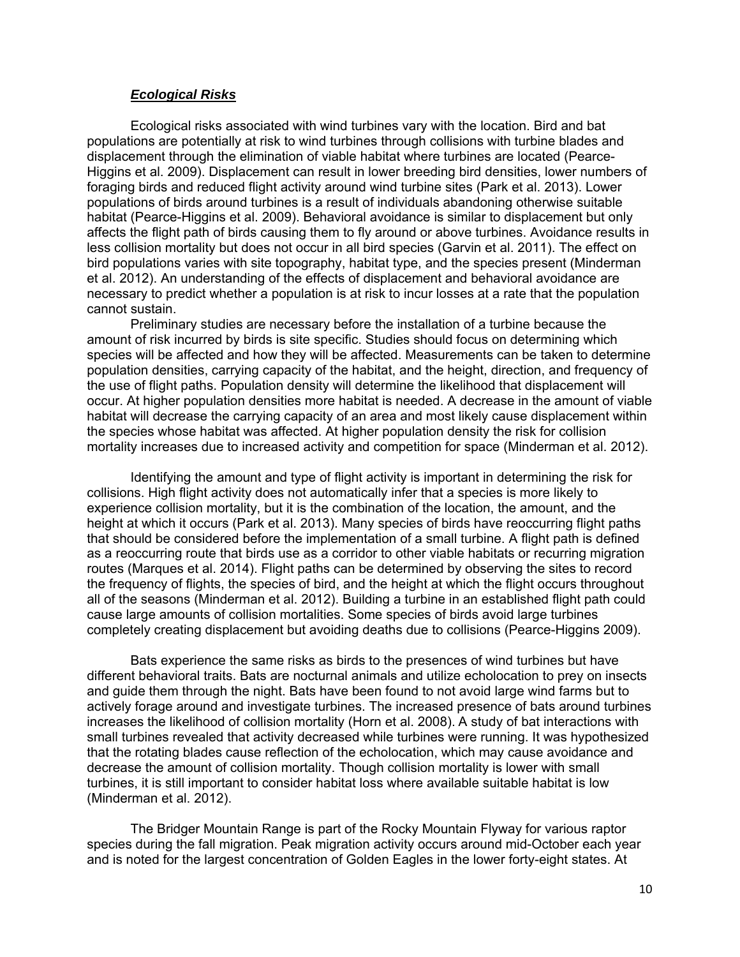#### *Ecological Risks*

Ecological risks associated with wind turbines vary with the location. Bird and bat populations are potentially at risk to wind turbines through collisions with turbine blades and displacement through the elimination of viable habitat where turbines are located (Pearce-Higgins et al. 2009). Displacement can result in lower breeding bird densities, lower numbers of foraging birds and reduced flight activity around wind turbine sites (Park et al. 2013). Lower populations of birds around turbines is a result of individuals abandoning otherwise suitable habitat (Pearce-Higgins et al. 2009). Behavioral avoidance is similar to displacement but only affects the flight path of birds causing them to fly around or above turbines. Avoidance results in less collision mortality but does not occur in all bird species (Garvin et al. 2011). The effect on bird populations varies with site topography, habitat type, and the species present (Minderman et al. 2012). An understanding of the effects of displacement and behavioral avoidance are necessary to predict whether a population is at risk to incur losses at a rate that the population cannot sustain.

Preliminary studies are necessary before the installation of a turbine because the amount of risk incurred by birds is site specific. Studies should focus on determining which species will be affected and how they will be affected. Measurements can be taken to determine population densities, carrying capacity of the habitat, and the height, direction, and frequency of the use of flight paths. Population density will determine the likelihood that displacement will occur. At higher population densities more habitat is needed. A decrease in the amount of viable habitat will decrease the carrying capacity of an area and most likely cause displacement within the species whose habitat was affected. At higher population density the risk for collision mortality increases due to increased activity and competition for space (Minderman et al. 2012).

Identifying the amount and type of flight activity is important in determining the risk for collisions. High flight activity does not automatically infer that a species is more likely to experience collision mortality, but it is the combination of the location, the amount, and the height at which it occurs (Park et al. 2013). Many species of birds have reoccurring flight paths that should be considered before the implementation of a small turbine. A flight path is defined as a reoccurring route that birds use as a corridor to other viable habitats or recurring migration routes (Marques et al. 2014). Flight paths can be determined by observing the sites to record the frequency of flights, the species of bird, and the height at which the flight occurs throughout all of the seasons (Minderman et al. 2012). Building a turbine in an established flight path could cause large amounts of collision mortalities. Some species of birds avoid large turbines completely creating displacement but avoiding deaths due to collisions (Pearce-Higgins 2009).

Bats experience the same risks as birds to the presences of wind turbines but have different behavioral traits. Bats are nocturnal animals and utilize echolocation to prey on insects and guide them through the night. Bats have been found to not avoid large wind farms but to actively forage around and investigate turbines. The increased presence of bats around turbines increases the likelihood of collision mortality (Horn et al. 2008). A study of bat interactions with small turbines revealed that activity decreased while turbines were running. It was hypothesized that the rotating blades cause reflection of the echolocation, which may cause avoidance and decrease the amount of collision mortality. Though collision mortality is lower with small turbines, it is still important to consider habitat loss where available suitable habitat is low (Minderman et al. 2012).

The Bridger Mountain Range is part of the Rocky Mountain Flyway for various raptor species during the fall migration. Peak migration activity occurs around mid-October each year and is noted for the largest concentration of Golden Eagles in the lower forty-eight states. At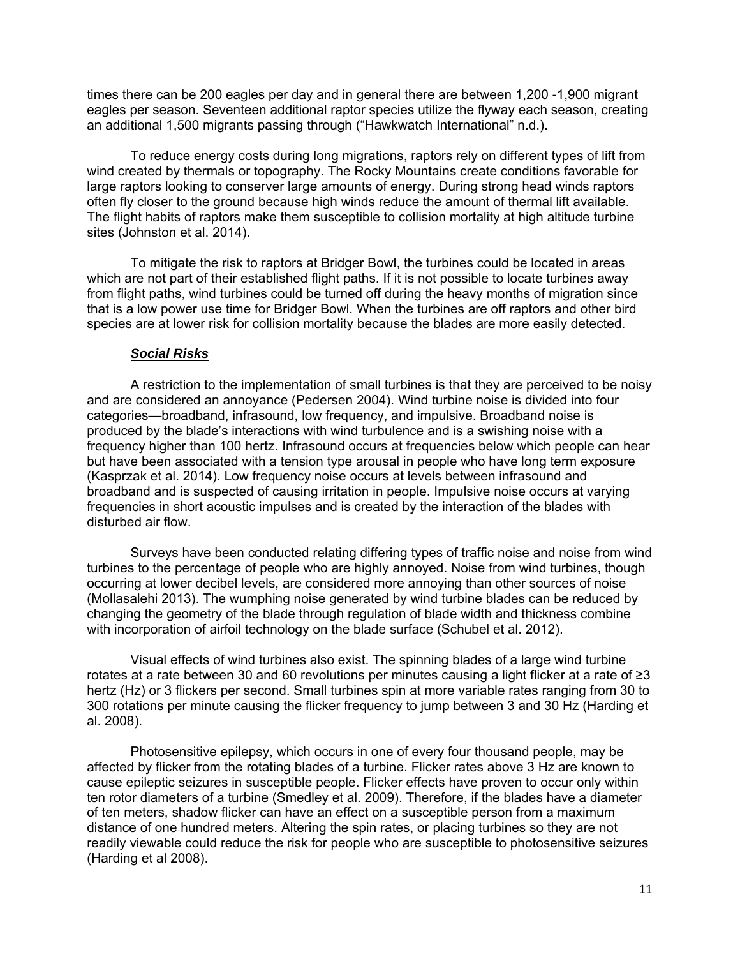times there can be 200 eagles per day and in general there are between 1,200 -1,900 migrant eagles per season. Seventeen additional raptor species utilize the flyway each season, creating an additional 1,500 migrants passing through ("Hawkwatch International" n.d.).

To reduce energy costs during long migrations, raptors rely on different types of lift from wind created by thermals or topography. The Rocky Mountains create conditions favorable for large raptors looking to conserver large amounts of energy. During strong head winds raptors often fly closer to the ground because high winds reduce the amount of thermal lift available. The flight habits of raptors make them susceptible to collision mortality at high altitude turbine sites (Johnston et al. 2014).

To mitigate the risk to raptors at Bridger Bowl, the turbines could be located in areas which are not part of their established flight paths. If it is not possible to locate turbines away from flight paths, wind turbines could be turned off during the heavy months of migration since that is a low power use time for Bridger Bowl. When the turbines are off raptors and other bird species are at lower risk for collision mortality because the blades are more easily detected.

#### *Social Risks*

A restriction to the implementation of small turbines is that they are perceived to be noisy and are considered an annoyance (Pedersen 2004). Wind turbine noise is divided into four categories—broadband, infrasound, low frequency, and impulsive. Broadband noise is produced by the blade's interactions with wind turbulence and is a swishing noise with a frequency higher than 100 hertz. Infrasound occurs at frequencies below which people can hear but have been associated with a tension type arousal in people who have long term exposure (Kasprzak et al. 2014). Low frequency noise occurs at levels between infrasound and broadband and is suspected of causing irritation in people. Impulsive noise occurs at varying frequencies in short acoustic impulses and is created by the interaction of the blades with disturbed air flow.

Surveys have been conducted relating differing types of traffic noise and noise from wind turbines to the percentage of people who are highly annoyed. Noise from wind turbines, though occurring at lower decibel levels, are considered more annoying than other sources of noise (Mollasalehi 2013). The wumphing noise generated by wind turbine blades can be reduced by changing the geometry of the blade through regulation of blade width and thickness combine with incorporation of airfoil technology on the blade surface (Schubel et al. 2012).

Visual effects of wind turbines also exist. The spinning blades of a large wind turbine rotates at a rate between 30 and 60 revolutions per minutes causing a light flicker at a rate of ≥3 hertz (Hz) or 3 flickers per second. Small turbines spin at more variable rates ranging from 30 to 300 rotations per minute causing the flicker frequency to jump between 3 and 30 Hz (Harding et al. 2008).

Photosensitive epilepsy, which occurs in one of every four thousand people, may be affected by flicker from the rotating blades of a turbine. Flicker rates above 3 Hz are known to cause epileptic seizures in susceptible people. Flicker effects have proven to occur only within ten rotor diameters of a turbine (Smedley et al. 2009). Therefore, if the blades have a diameter of ten meters, shadow flicker can have an effect on a susceptible person from a maximum distance of one hundred meters. Altering the spin rates, or placing turbines so they are not readily viewable could reduce the risk for people who are susceptible to photosensitive seizures (Harding et al 2008).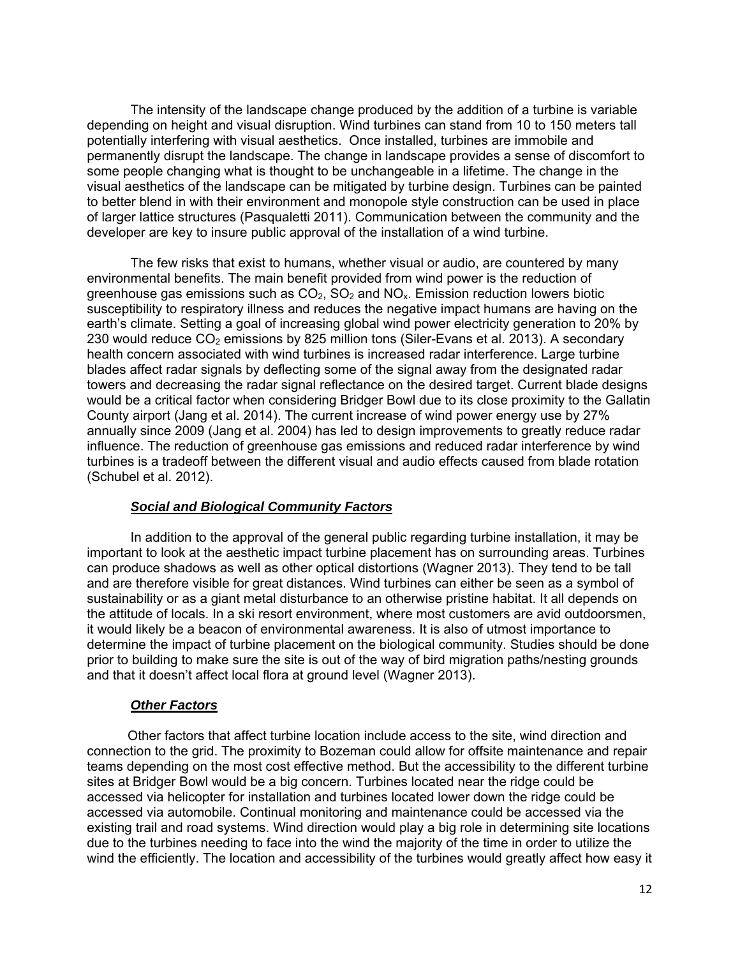The intensity of the landscape change produced by the addition of a turbine is variable depending on height and visual disruption. Wind turbines can stand from 10 to 150 meters tall potentially interfering with visual aesthetics. Once installed, turbines are immobile and permanently disrupt the landscape. The change in landscape provides a sense of discomfort to some people changing what is thought to be unchangeable in a lifetime. The change in the visual aesthetics of the landscape can be mitigated by turbine design. Turbines can be painted to better blend in with their environment and monopole style construction can be used in place of larger lattice structures (Pasqualetti 2011). Communication between the community and the developer are key to insure public approval of the installation of a wind turbine.

The few risks that exist to humans, whether visual or audio, are countered by many environmental benefits. The main benefit provided from wind power is the reduction of greenhouse gas emissions such as  $CO<sub>2</sub>$ ,  $SO<sub>2</sub>$  and  $NO<sub>x</sub>$ . Emission reduction lowers biotic susceptibility to respiratory illness and reduces the negative impact humans are having on the earth's climate. Setting a goal of increasing global wind power electricity generation to 20% by 230 would reduce  $CO<sub>2</sub>$  emissions by 825 million tons (Siler-Evans et al. 2013). A secondary health concern associated with wind turbines is increased radar interference. Large turbine blades affect radar signals by deflecting some of the signal away from the designated radar towers and decreasing the radar signal reflectance on the desired target. Current blade designs would be a critical factor when considering Bridger Bowl due to its close proximity to the Gallatin County airport (Jang et al. 2014). The current increase of wind power energy use by 27% annually since 2009 (Jang et al. 2004) has led to design improvements to greatly reduce radar influence. The reduction of greenhouse gas emissions and reduced radar interference by wind turbines is a tradeoff between the different visual and audio effects caused from blade rotation (Schubel et al. 2012).

### *Social and Biological Community Factors*

In addition to the approval of the general public regarding turbine installation, it may be important to look at the aesthetic impact turbine placement has on surrounding areas. Turbines can produce shadows as well as other optical distortions (Wagner 2013). They tend to be tall and are therefore visible for great distances. Wind turbines can either be seen as a symbol of sustainability or as a giant metal disturbance to an otherwise pristine habitat. It all depends on the attitude of locals. In a ski resort environment, where most customers are avid outdoorsmen, it would likely be a beacon of environmental awareness. It is also of utmost importance to determine the impact of turbine placement on the biological community. Studies should be done prior to building to make sure the site is out of the way of bird migration paths/nesting grounds and that it doesn't affect local flora at ground level (Wagner 2013).

#### *Other Factors*

 Other factors that affect turbine location include access to the site, wind direction and connection to the grid. The proximity to Bozeman could allow for offsite maintenance and repair teams depending on the most cost effective method. But the accessibility to the different turbine sites at Bridger Bowl would be a big concern. Turbines located near the ridge could be accessed via helicopter for installation and turbines located lower down the ridge could be accessed via automobile. Continual monitoring and maintenance could be accessed via the existing trail and road systems. Wind direction would play a big role in determining site locations due to the turbines needing to face into the wind the majority of the time in order to utilize the wind the efficiently. The location and accessibility of the turbines would greatly affect how easy it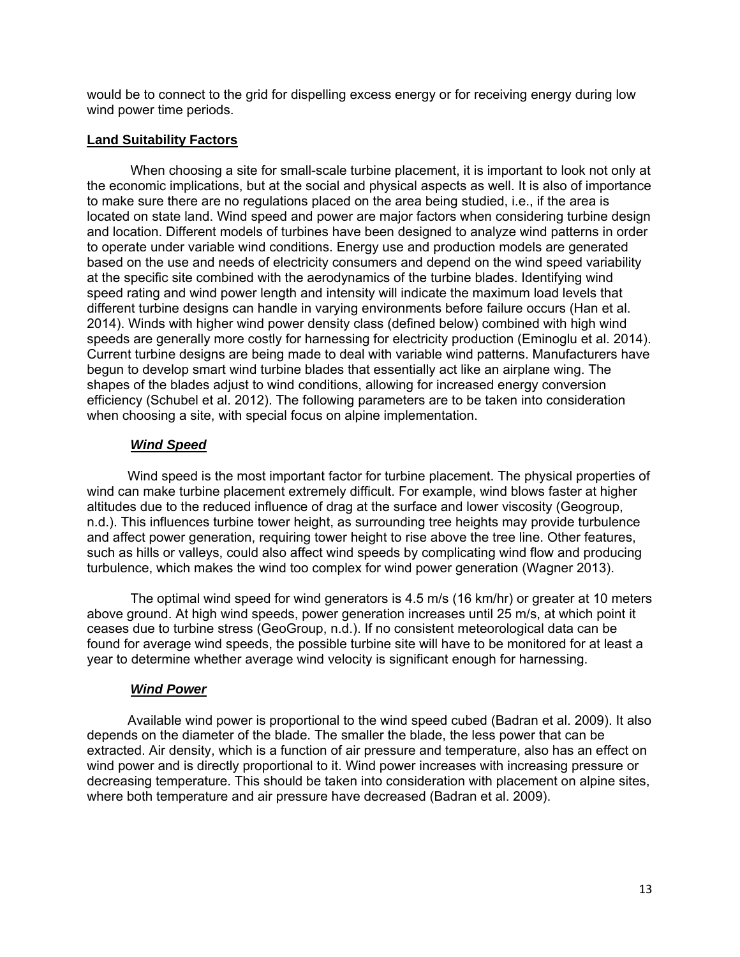would be to connect to the grid for dispelling excess energy or for receiving energy during low wind power time periods.

### **Land Suitability Factors**

When choosing a site for small-scale turbine placement, it is important to look not only at the economic implications, but at the social and physical aspects as well. It is also of importance to make sure there are no regulations placed on the area being studied, i.e., if the area is located on state land. Wind speed and power are major factors when considering turbine design and location. Different models of turbines have been designed to analyze wind patterns in order to operate under variable wind conditions. Energy use and production models are generated based on the use and needs of electricity consumers and depend on the wind speed variability at the specific site combined with the aerodynamics of the turbine blades. Identifying wind speed rating and wind power length and intensity will indicate the maximum load levels that different turbine designs can handle in varying environments before failure occurs (Han et al. 2014). Winds with higher wind power density class (defined below) combined with high wind speeds are generally more costly for harnessing for electricity production (Eminoglu et al. 2014). Current turbine designs are being made to deal with variable wind patterns. Manufacturers have begun to develop smart wind turbine blades that essentially act like an airplane wing. The shapes of the blades adjust to wind conditions, allowing for increased energy conversion efficiency (Schubel et al. 2012). The following parameters are to be taken into consideration when choosing a site, with special focus on alpine implementation.

# *Wind Speed*

 Wind speed is the most important factor for turbine placement. The physical properties of wind can make turbine placement extremely difficult. For example, wind blows faster at higher altitudes due to the reduced influence of drag at the surface and lower viscosity (Geogroup, n.d.). This influences turbine tower height, as surrounding tree heights may provide turbulence and affect power generation, requiring tower height to rise above the tree line. Other features, such as hills or valleys, could also affect wind speeds by complicating wind flow and producing turbulence, which makes the wind too complex for wind power generation (Wagner 2013).

The optimal wind speed for wind generators is 4.5 m/s (16 km/hr) or greater at 10 meters above ground. At high wind speeds, power generation increases until 25 m/s, at which point it ceases due to turbine stress (GeoGroup, n.d.). If no consistent meteorological data can be found for average wind speeds, the possible turbine site will have to be monitored for at least a year to determine whether average wind velocity is significant enough for harnessing.

# *Wind Power*

 Available wind power is proportional to the wind speed cubed (Badran et al. 2009). It also depends on the diameter of the blade. The smaller the blade, the less power that can be extracted. Air density, which is a function of air pressure and temperature, also has an effect on wind power and is directly proportional to it. Wind power increases with increasing pressure or decreasing temperature. This should be taken into consideration with placement on alpine sites, where both temperature and air pressure have decreased (Badran et al. 2009).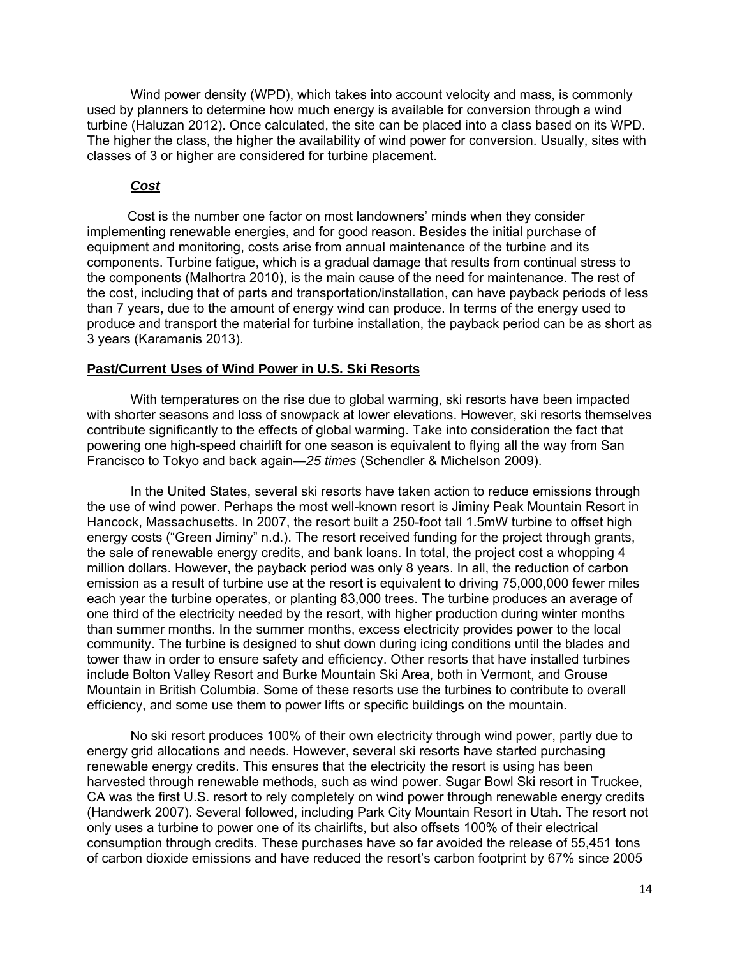Wind power density (WPD), which takes into account velocity and mass, is commonly used by planners to determine how much energy is available for conversion through a wind turbine (Haluzan 2012). Once calculated, the site can be placed into a class based on its WPD. The higher the class, the higher the availability of wind power for conversion. Usually, sites with classes of 3 or higher are considered for turbine placement.

### *Cost*

 Cost is the number one factor on most landowners' minds when they consider implementing renewable energies, and for good reason. Besides the initial purchase of equipment and monitoring, costs arise from annual maintenance of the turbine and its components. Turbine fatigue, which is a gradual damage that results from continual stress to the components (Malhortra 2010), is the main cause of the need for maintenance. The rest of the cost, including that of parts and transportation/installation, can have payback periods of less than 7 years, due to the amount of energy wind can produce. In terms of the energy used to produce and transport the material for turbine installation, the payback period can be as short as 3 years (Karamanis 2013).

### **Past/Current Uses of Wind Power in U.S. Ski Resorts**

With temperatures on the rise due to global warming, ski resorts have been impacted with shorter seasons and loss of snowpack at lower elevations. However, ski resorts themselves contribute significantly to the effects of global warming. Take into consideration the fact that powering one high-speed chairlift for one season is equivalent to flying all the way from San Francisco to Tokyo and back again—*25 times* (Schendler & Michelson 2009).

In the United States, several ski resorts have taken action to reduce emissions through the use of wind power. Perhaps the most well-known resort is Jiminy Peak Mountain Resort in Hancock, Massachusetts. In 2007, the resort built a 250-foot tall 1.5mW turbine to offset high energy costs ("Green Jiminy" n.d.). The resort received funding for the project through grants, the sale of renewable energy credits, and bank loans. In total, the project cost a whopping 4 million dollars. However, the payback period was only 8 years. In all, the reduction of carbon emission as a result of turbine use at the resort is equivalent to driving 75,000,000 fewer miles each year the turbine operates, or planting 83,000 trees. The turbine produces an average of one third of the electricity needed by the resort, with higher production during winter months than summer months. In the summer months, excess electricity provides power to the local community. The turbine is designed to shut down during icing conditions until the blades and tower thaw in order to ensure safety and efficiency. Other resorts that have installed turbines include Bolton Valley Resort and Burke Mountain Ski Area, both in Vermont, and Grouse Mountain in British Columbia. Some of these resorts use the turbines to contribute to overall efficiency, and some use them to power lifts or specific buildings on the mountain.

No ski resort produces 100% of their own electricity through wind power, partly due to energy grid allocations and needs. However, several ski resorts have started purchasing renewable energy credits. This ensures that the electricity the resort is using has been harvested through renewable methods, such as wind power. Sugar Bowl Ski resort in Truckee, CA was the first U.S. resort to rely completely on wind power through renewable energy credits (Handwerk 2007). Several followed, including Park City Mountain Resort in Utah. The resort not only uses a turbine to power one of its chairlifts, but also offsets 100% of their electrical consumption through credits. These purchases have so far avoided the release of 55,451 tons of carbon dioxide emissions and have reduced the resort's carbon footprint by 67% since 2005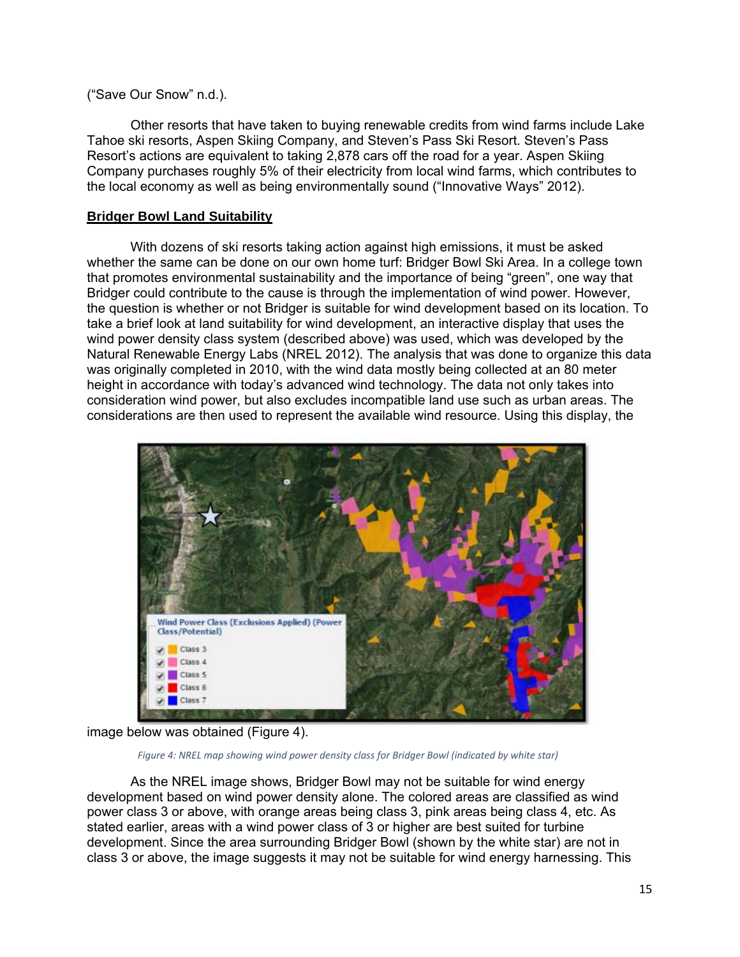("Save Our Snow" n.d.).

Other resorts that have taken to buying renewable credits from wind farms include Lake Tahoe ski resorts, Aspen Skiing Company, and Steven's Pass Ski Resort. Steven's Pass Resort's actions are equivalent to taking 2,878 cars off the road for a year. Aspen Skiing Company purchases roughly 5% of their electricity from local wind farms, which contributes to the local economy as well as being environmentally sound ("Innovative Ways" 2012).

# **Bridger Bowl Land Suitability**

With dozens of ski resorts taking action against high emissions, it must be asked whether the same can be done on our own home turf: Bridger Bowl Ski Area. In a college town that promotes environmental sustainability and the importance of being "green", one way that Bridger could contribute to the cause is through the implementation of wind power. However, the question is whether or not Bridger is suitable for wind development based on its location. To take a brief look at land suitability for wind development, an interactive display that uses the wind power density class system (described above) was used, which was developed by the Natural Renewable Energy Labs (NREL 2012). The analysis that was done to organize this data was originally completed in 2010, with the wind data mostly being collected at an 80 meter height in accordance with today's advanced wind technology. The data not only takes into consideration wind power, but also excludes incompatible land use such as urban areas. The considerations are then used to represent the available wind resource. Using this display, the



image below was obtained (Figure 4).

Figure 4: NREL map showing wind power density class for Bridger Bowl (indicated by white star)

As the NREL image shows, Bridger Bowl may not be suitable for wind energy development based on wind power density alone. The colored areas are classified as wind power class 3 or above, with orange areas being class 3, pink areas being class 4, etc. As stated earlier, areas with a wind power class of 3 or higher are best suited for turbine development. Since the area surrounding Bridger Bowl (shown by the white star) are not in class 3 or above, the image suggests it may not be suitable for wind energy harnessing. This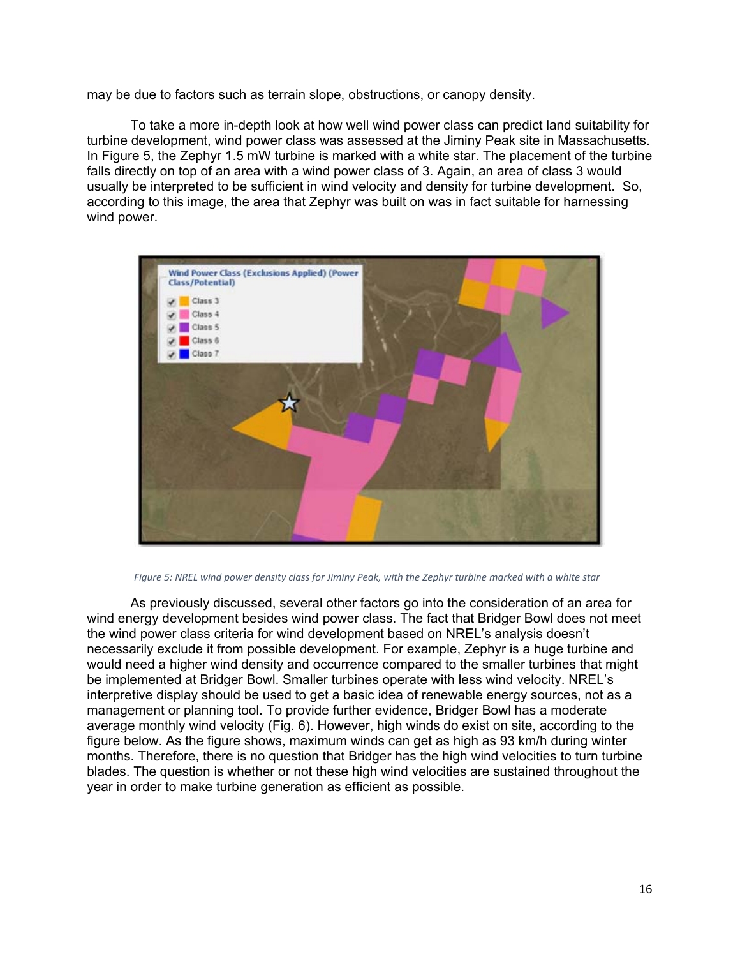may be due to factors such as terrain slope, obstructions, or canopy density.

To take a more in-depth look at how well wind power class can predict land suitability for turbine development, wind power class was assessed at the Jiminy Peak site in Massachusetts. In Figure 5, the Zephyr 1.5 mW turbine is marked with a white star. The placement of the turbine falls directly on top of an area with a wind power class of 3. Again, an area of class 3 would usually be interpreted to be sufficient in wind velocity and density for turbine development. So, according to this image, the area that Zephyr was built on was in fact suitable for harnessing wind power.



Figure 5: NREL wind power density class for Jiminy Peak, with the Zephyr turbine marked with a white star

As previously discussed, several other factors go into the consideration of an area for wind energy development besides wind power class. The fact that Bridger Bowl does not meet the wind power class criteria for wind development based on NREL's analysis doesn't necessarily exclude it from possible development. For example, Zephyr is a huge turbine and would need a higher wind density and occurrence compared to the smaller turbines that might be implemented at Bridger Bowl. Smaller turbines operate with less wind velocity. NREL's interpretive display should be used to get a basic idea of renewable energy sources, not as a management or planning tool. To provide further evidence, Bridger Bowl has a moderate average monthly wind velocity (Fig. 6). However, high winds do exist on site, according to the figure below. As the figure shows, maximum winds can get as high as 93 km/h during winter months. Therefore, there is no question that Bridger has the high wind velocities to turn turbine blades. The question is whether or not these high wind velocities are sustained throughout the year in order to make turbine generation as efficient as possible.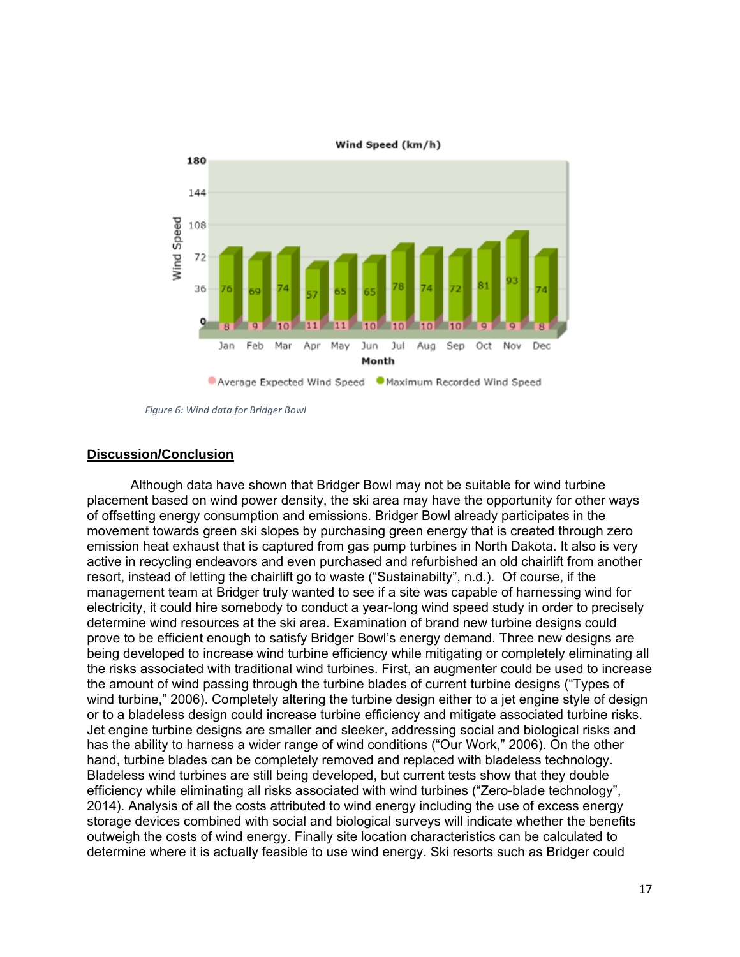

*Figure 6: Wind data for Bridger Bowl*

#### **Discussion/Conclusion**

Although data have shown that Bridger Bowl may not be suitable for wind turbine placement based on wind power density, the ski area may have the opportunity for other ways of offsetting energy consumption and emissions. Bridger Bowl already participates in the movement towards green ski slopes by purchasing green energy that is created through zero emission heat exhaust that is captured from gas pump turbines in North Dakota. It also is very active in recycling endeavors and even purchased and refurbished an old chairlift from another resort, instead of letting the chairlift go to waste ("Sustainabilty", n.d.). Of course, if the management team at Bridger truly wanted to see if a site was capable of harnessing wind for electricity, it could hire somebody to conduct a year-long wind speed study in order to precisely determine wind resources at the ski area. Examination of brand new turbine designs could prove to be efficient enough to satisfy Bridger Bowl's energy demand. Three new designs are being developed to increase wind turbine efficiency while mitigating or completely eliminating all the risks associated with traditional wind turbines. First, an augmenter could be used to increase the amount of wind passing through the turbine blades of current turbine designs ("Types of wind turbine," 2006). Completely altering the turbine design either to a jet engine style of design or to a bladeless design could increase turbine efficiency and mitigate associated turbine risks. Jet engine turbine designs are smaller and sleeker, addressing social and biological risks and has the ability to harness a wider range of wind conditions ("Our Work," 2006). On the other hand, turbine blades can be completely removed and replaced with bladeless technology. Bladeless wind turbines are still being developed, but current tests show that they double efficiency while eliminating all risks associated with wind turbines ("Zero-blade technology", 2014). Analysis of all the costs attributed to wind energy including the use of excess energy storage devices combined with social and biological surveys will indicate whether the benefits outweigh the costs of wind energy. Finally site location characteristics can be calculated to determine where it is actually feasible to use wind energy. Ski resorts such as Bridger could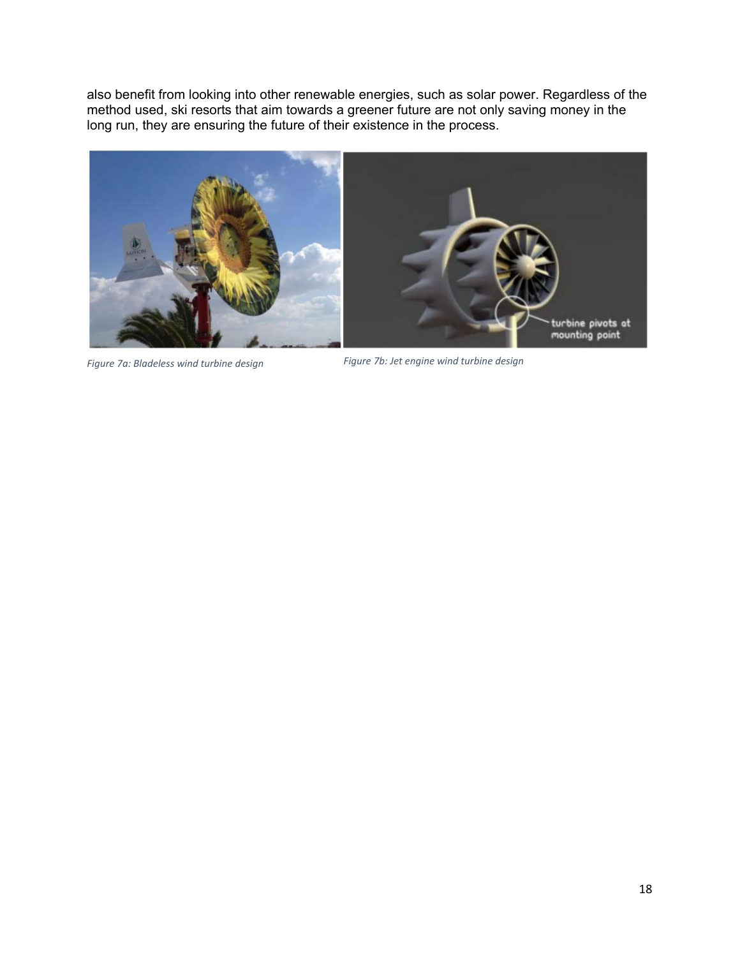also benefit from looking into other renewable energies, such as solar power. Regardless of the method used, ski resorts that aim towards a greener future are not only saving money in the long run, they are ensuring the future of their existence in the process.



 *Figure 7a: Bladeless wind turbine design Figure 7b: Jet engine wind turbine design*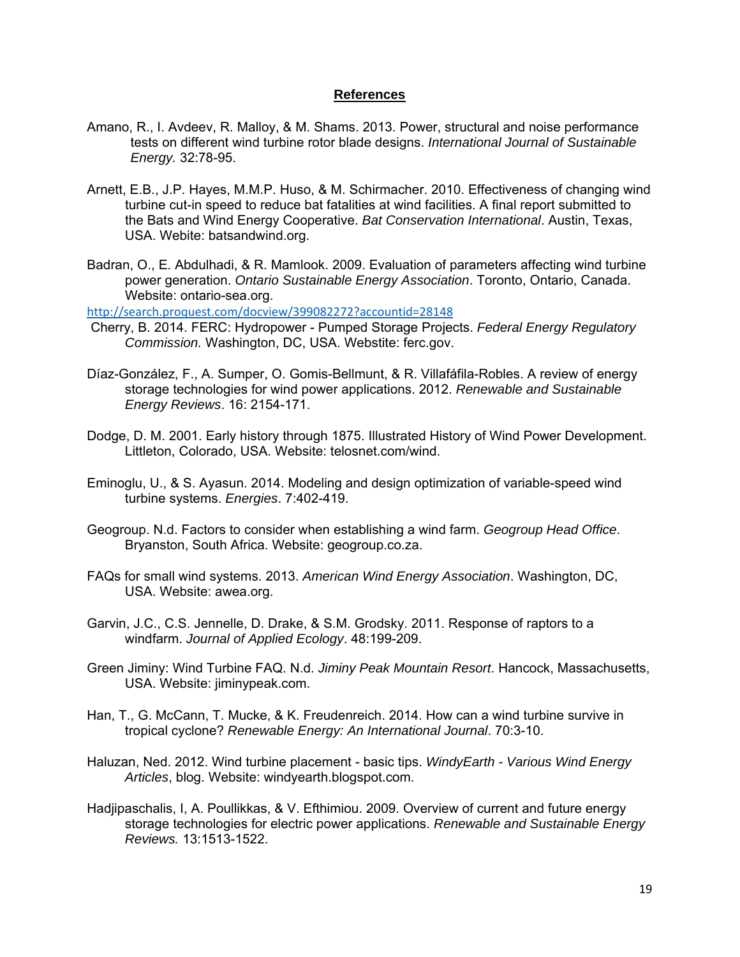#### **References**

- Amano, R., I. Avdeev, R. Malloy, & M. Shams. 2013. Power, structural and noise performance tests on different wind turbine rotor blade designs. *International Journal of Sustainable Energy.* 32:78-95.
- Arnett, E.B., J.P. Hayes, M.M.P. Huso, & M. Schirmacher. 2010. Effectiveness of changing wind turbine cut-in speed to reduce bat fatalities at wind facilities. A final report submitted to the Bats and Wind Energy Cooperative. *Bat Conservation International*. Austin, Texas, USA. Webite: batsandwind.org.
- Badran, O., E. Abdulhadi, & R. Mamlook. 2009. Evaluation of parameters affecting wind turbine power generation. *Ontario Sustainable Energy Association*. Toronto, Ontario, Canada. Website: ontario-sea.org.

http://search.proquest.com/docview/399082272?accountid=28148

- Cherry, B. 2014. FERC: Hydropower Pumped Storage Projects. *Federal Energy Regulatory Commission.* Washington, DC, USA. Webstite: ferc.gov.
- Díaz-González, F., A. Sumper, O. Gomis-Bellmunt, & R. Villafáfila-Robles. A review of energy storage technologies for wind power applications. 2012. *Renewable and Sustainable Energy Reviews*. 16: 2154-171.
- Dodge, D. M. 2001. Early history through 1875. Illustrated History of Wind Power Development. Littleton, Colorado, USA. Website: telosnet.com/wind.
- Eminoglu, U., & S. Ayasun. 2014. Modeling and design optimization of variable-speed wind turbine systems. *Energies*. 7:402-419.
- Geogroup. N.d. Factors to consider when establishing a wind farm. *Geogroup Head Office*. Bryanston, South Africa. Website: geogroup.co.za.
- FAQs for small wind systems. 2013. *American Wind Energy Association*. Washington, DC, USA. Website: awea.org.
- Garvin, J.C., C.S. Jennelle, D. Drake, & S.M. Grodsky. 2011. Response of raptors to a windfarm. *Journal of Applied Ecology*. 48:199-209.
- Green Jiminy: Wind Turbine FAQ. N.d. *Jiminy Peak Mountain Resort*. Hancock, Massachusetts, USA. Website: jiminypeak.com.
- Han, T., G. McCann, T. Mucke, & K. Freudenreich. 2014. How can a wind turbine survive in tropical cyclone? *Renewable Energy: An International Journal*. 70:3-10.
- Haluzan, Ned. 2012. Wind turbine placement basic tips. *WindyEarth Various Wind Energy Articles*, blog. Website: windyearth.blogspot.com.
- Hadjipaschalis, I, A. Poullikkas, & V. Efthimiou. 2009. Overview of current and future energy storage technologies for electric power applications. *Renewable and Sustainable Energy Reviews.* 13:1513-1522.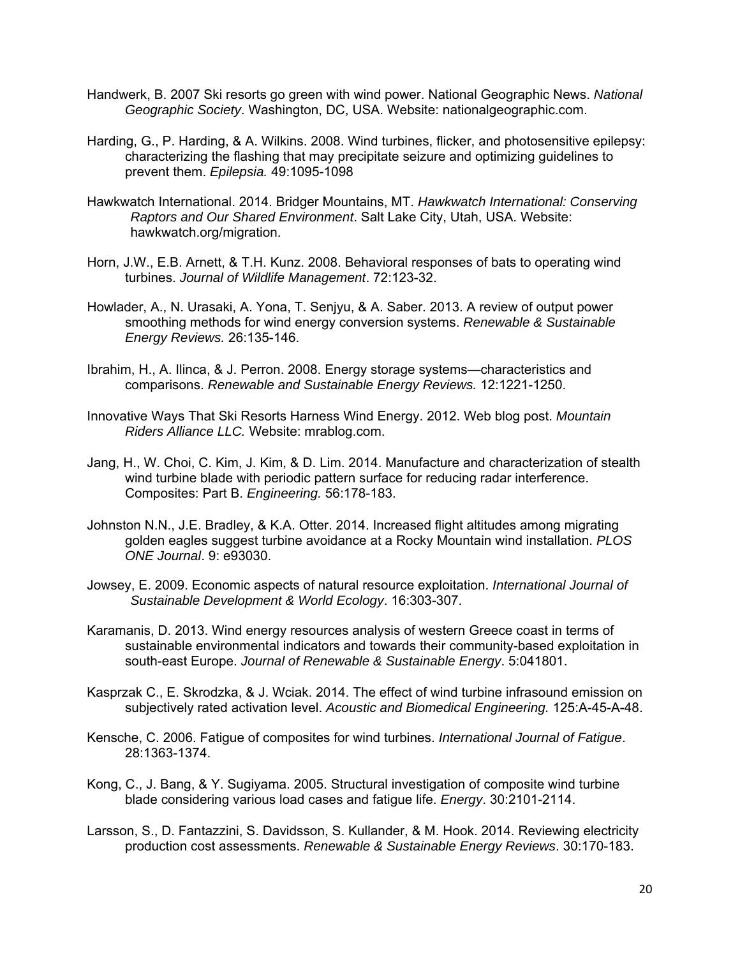- Handwerk, B. 2007 Ski resorts go green with wind power. National Geographic News. *National Geographic Society*. Washington, DC, USA. Website: nationalgeographic.com.
- Harding, G., P. Harding, & A. Wilkins. 2008. Wind turbines, flicker, and photosensitive epilepsy: characterizing the flashing that may precipitate seizure and optimizing guidelines to prevent them. *Epilepsia.* 49:1095-1098
- Hawkwatch International. 2014. Bridger Mountains, MT. *Hawkwatch International: Conserving Raptors and Our Shared Environment*. Salt Lake City, Utah, USA. Website: hawkwatch.org/migration.
- Horn, J.W., E.B. Arnett, & T.H. Kunz. 2008. Behavioral responses of bats to operating wind turbines. *Journal of Wildlife Management*. 72:123-32.
- Howlader, A., N. Urasaki, A. Yona, T. Senjyu, & A. Saber. 2013. A review of output power smoothing methods for wind energy conversion systems. *Renewable & Sustainable Energy Reviews.* 26:135-146.
- Ibrahim, H., A. Ilinca, & J. Perron. 2008. Energy storage systems—characteristics and comparisons. *Renewable and Sustainable Energy Reviews.* 12:1221-1250.
- Innovative Ways That Ski Resorts Harness Wind Energy. 2012. Web blog post. *Mountain Riders Alliance LLC.* Website: mrablog.com.
- Jang, H., W. Choi, C. Kim, J. Kim, & D. Lim. 2014. Manufacture and characterization of stealth wind turbine blade with periodic pattern surface for reducing radar interference. Composites: Part B. *Engineering.* 56:178-183.
- Johnston N.N., J.E. Bradley, & K.A. Otter. 2014. Increased flight altitudes among migrating golden eagles suggest turbine avoidance at a Rocky Mountain wind installation. *PLOS ONE Journal*. 9: e93030.
- Jowsey, E. 2009. Economic aspects of natural resource exploitation. *International Journal of Sustainable Development & World Ecology*. 16:303-307.
- Karamanis, D. 2013. Wind energy resources analysis of western Greece coast in terms of sustainable environmental indicators and towards their community-based exploitation in south-east Europe. *Journal of Renewable & Sustainable Energy*. 5:041801.
- Kasprzak C., E. Skrodzka, & J. Wciak. 2014. The effect of wind turbine infrasound emission on subjectively rated activation level. *Acoustic and Biomedical Engineering.* 125:A-45-A-48.
- Kensche, C. 2006. Fatigue of composites for wind turbines. *International Journal of Fatigue*. 28:1363-1374.
- Kong, C., J. Bang, & Y. Sugiyama. 2005. Structural investigation of composite wind turbine blade considering various load cases and fatigue life. *Energy*. 30:2101-2114.
- Larsson, S., D. Fantazzini, S. Davidsson, S. Kullander, & M. Hook. 2014. Reviewing electricity production cost assessments. *Renewable & Sustainable Energy Reviews*. 30:170-183.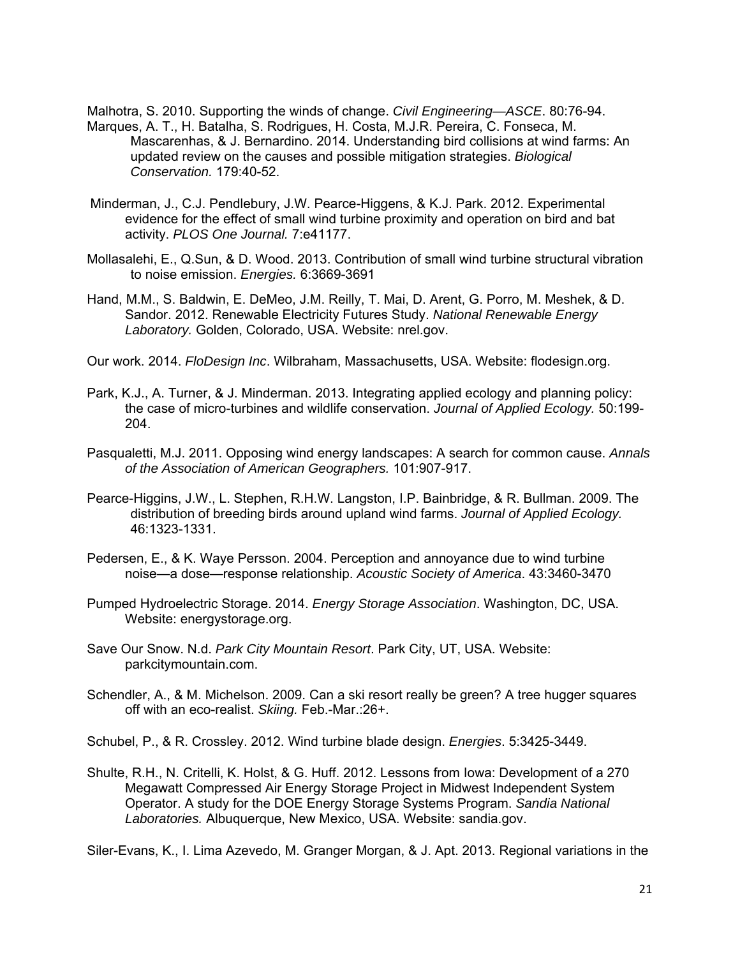Malhotra, S. 2010. Supporting the winds of change. *Civil Engineering—ASCE*. 80:76-94.

- Marques, A. T., H. Batalha, S. Rodrigues, H. Costa, M.J.R. Pereira, C. Fonseca, M. Mascarenhas, & J. Bernardino. 2014. Understanding bird collisions at wind farms: An updated review on the causes and possible mitigation strategies. *Biological Conservation.* 179:40-52.
- Minderman, J., C.J. Pendlebury, J.W. Pearce-Higgens, & K.J. Park. 2012. Experimental evidence for the effect of small wind turbine proximity and operation on bird and bat activity. *PLOS One Journal.* 7:e41177.
- Mollasalehi, E., Q.Sun, & D. Wood. 2013. Contribution of small wind turbine structural vibration to noise emission. *Energies.* 6:3669-3691
- Hand, M.M., S. Baldwin, E. DeMeo, J.M. Reilly, T. Mai, D. Arent, G. Porro, M. Meshek, & D. Sandor. 2012. Renewable Electricity Futures Study. *National Renewable Energy Laboratory.* Golden, Colorado, USA. Website: nrel.gov.
- Our work. 2014. *FloDesign Inc*. Wilbraham, Massachusetts, USA. Website: flodesign.org.
- Park, K.J., A. Turner, & J. Minderman. 2013. Integrating applied ecology and planning policy: the case of micro-turbines and wildlife conservation. *Journal of Applied Ecology.* 50:199 204.
- Pasqualetti, M.J. 2011. Opposing wind energy landscapes: A search for common cause. *Annals of the Association of American Geographers.* 101:907-917.
- Pearce-Higgins, J.W., L. Stephen, R.H.W. Langston, I.P. Bainbridge, & R. Bullman. 2009. The distribution of breeding birds around upland wind farms. *Journal of Applied Ecology.*  46:1323-1331.
- Pedersen, E., & K. Waye Persson. 2004. Perception and annoyance due to wind turbine noise—a dose—response relationship. *Acoustic Society of America*. 43:3460-3470
- Pumped Hydroelectric Storage. 2014. *Energy Storage Association*. Washington, DC, USA. Website: energystorage.org.
- Save Our Snow. N.d. *Park City Mountain Resort*. Park City, UT, USA. Website: parkcitymountain.com.
- Schendler, A., & M. Michelson. 2009. Can a ski resort really be green? A tree hugger squares off with an eco-realist. *Skiing.* Feb.-Mar.:26+.

Schubel, P., & R. Crossley. 2012. Wind turbine blade design. *Energies*. 5:3425-3449.

Shulte, R.H., N. Critelli, K. Holst, & G. Huff. 2012. Lessons from Iowa: Development of a 270 Megawatt Compressed Air Energy Storage Project in Midwest Independent System Operator. A study for the DOE Energy Storage Systems Program. *Sandia National Laboratories.* Albuquerque, New Mexico, USA. Website: sandia.gov.

Siler-Evans, K., I. Lima Azevedo, M. Granger Morgan, & J. Apt. 2013. Regional variations in the